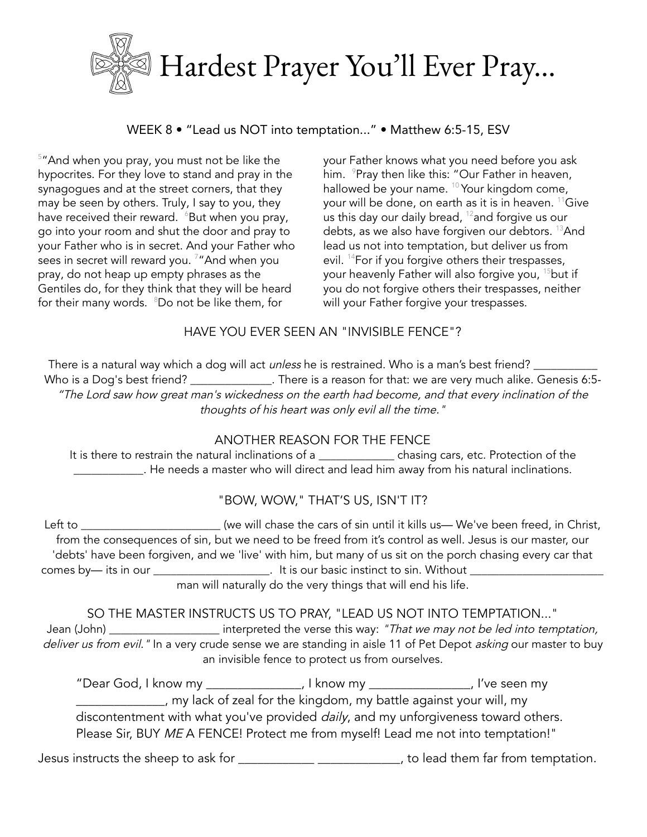

# WEEK 8 • "Lead us NOT into temptation..." • Matthew 6:5-15, ESV

<sup>5</sup> "And when you pray, you must not be like the hypocrites. For they love to stand and pray in the synagogues and at the street corners, that they may be seen by others. Truly, I say to you, they have received their reward.  $6But$  when you pray, go into your room and shut the door and pray to your Father who is in secret. And your Father who sees in secret will reward you. <sup>7</sup>"And when you pray, do not heap up empty phrases as the Gentiles do, for they think that they will be heard for their many words. <sup>8</sup>Do not be like them, for

your Father knows what you need before you ask him. <sup>9</sup>Pray then like this: "Our Father in heaven, hallowed be your name. <sup>10</sup> Your kingdom come, your will be done, on earth as it is in heaven. <sup>11</sup>Give us this day our daily bread, <sup>12</sup> and forgive us our debts, as we also have forgiven our debtors. <sup>13</sup>And lead us not into temptation, but deliver us from evil. <sup>14</sup>For if you forgive others their trespasses, your heavenly Father will also forgive you, <sup>15</sup>but if you do not forgive others their trespasses, neither will your Father forgive your trespasses.

### HAVE YOU EVER SEEN AN "INVISIBLE FENCE"?

There is a natural way which a dog will act *unless* he is restrained. Who is a man's best friend? \_\_\_\_\_\_\_\_\_\_\_\_\_\_ Who is a Dog's best friend? \_\_\_\_\_\_\_\_\_\_\_\_\_\_. There is a reason for that: we are very much alike. Genesis 6:5-"The Lord saw how great man's wickedness on the earth had become, and that every inclination of the thoughts of his heart was only evil all the time."

# ANOTHER REASON FOR THE FENCE

It is there to restrain the natural inclinations of a chasing cars, etc. Protection of the LECT UN Areals a master who will direct and lead him away from his natural inclinations.

# "BOW, WOW," THAT'S US, ISN'T IT?

Left to \_\_\_\_\_\_\_\_\_\_\_\_\_\_\_\_\_\_\_\_\_\_\_\_ (we will chase the cars of sin until it kills us— We've been freed, in Christ, from the consequences of sin, but we need to be freed from it's control as well. Jesus is our master, our 'debts' have been forgiven, and we 'live' with him, but many of us sit on the porch chasing every car that comes by— its in our \_\_\_\_\_\_\_\_\_\_\_\_\_\_\_\_\_\_\_\_\_. It is our basic instinct to sin. Without \_ man will naturally do the very things that will end his life.

# SO THE MASTER INSTRUCTS US TO PRAY, "LEAD US NOT INTO TEMPTATION..."

Jean (John) \_\_\_\_\_\_\_\_\_\_\_\_\_\_\_\_\_\_\_\_\_\_\_\_ interpreted the verse this way: "That we may not be led into temptation, deliver us from evil. " In a very crude sense we are standing in aisle 11 of Pet Depot asking our master to buy an invisible fence to protect us from ourselves.

"Dear God, I know my \_\_\_\_\_\_\_\_\_\_\_\_\_\_\_, I know my \_\_\_\_\_\_\_\_\_\_\_\_\_\_\_\_, I've seen my **wake the kingdom**, my battle against your will, my discontentment with what you've provided *daily*, and my unforgiveness toward others. Please Sir, BUY ME A FENCE! Protect me from myself! Lead me not into temptation!"

Jesus instructs the sheep to ask for \_\_\_\_\_\_\_\_\_\_\_\_\_\_\_\_\_\_\_\_\_\_\_\_\_\_\_\_, to lead them far from temptation.